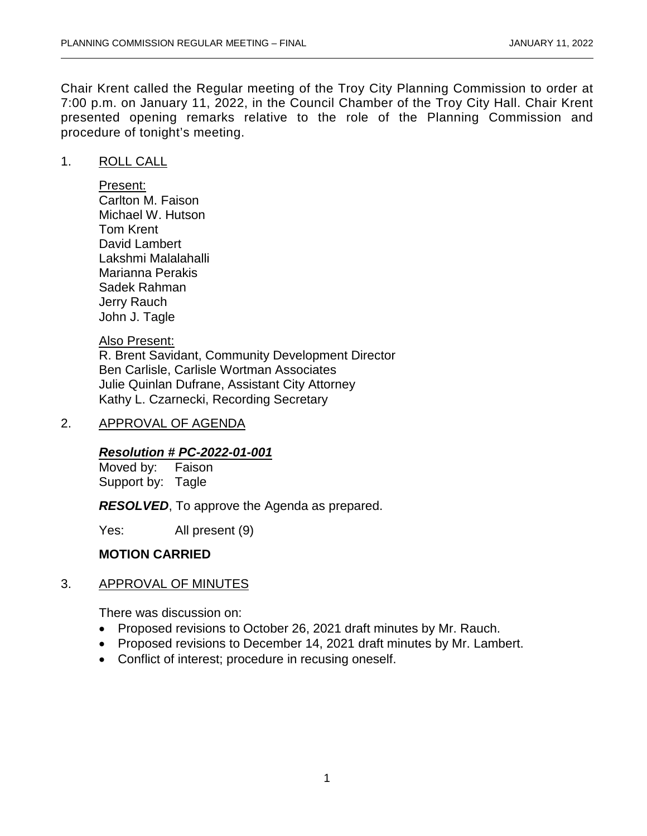Chair Krent called the Regular meeting of the Troy City Planning Commission to order at 7:00 p.m. on January 11, 2022, in the Council Chamber of the Troy City Hall. Chair Krent presented opening remarks relative to the role of the Planning Commission and procedure of tonight's meeting.

### 1. ROLL CALL

Present: Carlton M. Faison Michael W. Hutson Tom Krent David Lambert Lakshmi Malalahalli Marianna Perakis Sadek Rahman Jerry Rauch John J. Tagle

## Also Present:

R. Brent Savidant, Community Development Director Ben Carlisle, Carlisle Wortman Associates Julie Quinlan Dufrane, Assistant City Attorney Kathy L. Czarnecki, Recording Secretary

### 2. APPROVAL OF AGENDA

# *Resolution # PC-2022-01-001*

Moved by: Faison Support by: Tagle

*RESOLVED*, To approve the Agenda as prepared.

Yes: All present (9)

# **MOTION CARRIED**

# 3. APPROVAL OF MINUTES

There was discussion on:

- Proposed revisions to October 26, 2021 draft minutes by Mr. Rauch.
- Proposed revisions to December 14, 2021 draft minutes by Mr. Lambert.
- Conflict of interest; procedure in recusing oneself.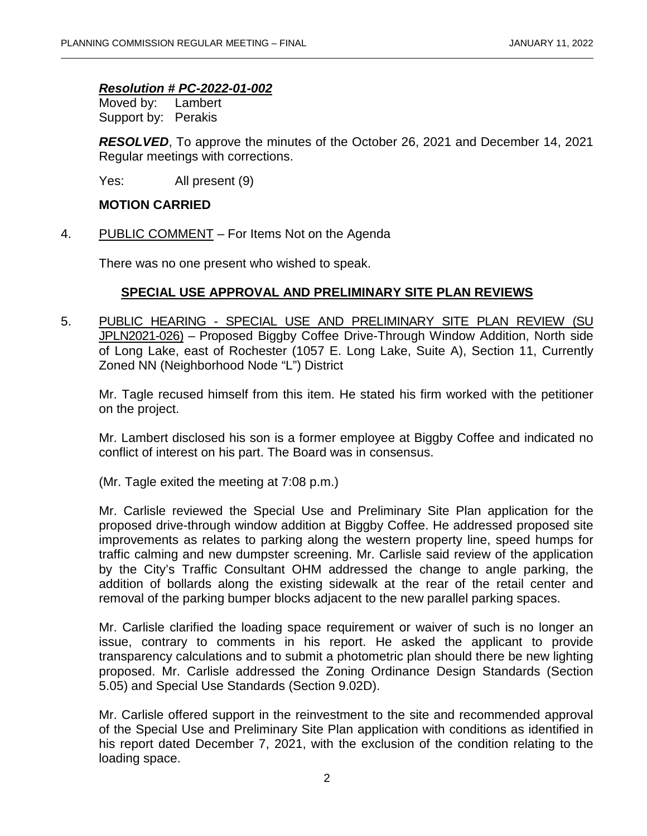## *Resolution # PC-2022-01-002*

Moved by: Lambert Support by: Perakis

*RESOLVED*, To approve the minutes of the October 26, 2021 and December 14, 2021 Regular meetings with corrections.

Yes: All present (9)

#### **MOTION CARRIED**

4. PUBLIC COMMENT – For Items Not on the Agenda

There was no one present who wished to speak.

# **SPECIAL USE APPROVAL AND PRELIMINARY SITE PLAN REVIEWS**

5. PUBLIC HEARING - SPECIAL USE AND PRELIMINARY SITE PLAN REVIEW (SU JPLN2021-026) – Proposed Biggby Coffee Drive-Through Window Addition, North side of Long Lake, east of Rochester (1057 E. Long Lake, Suite A), Section 11, Currently Zoned NN (Neighborhood Node "L") District

Mr. Tagle recused himself from this item. He stated his firm worked with the petitioner on the project.

Mr. Lambert disclosed his son is a former employee at Biggby Coffee and indicated no conflict of interest on his part. The Board was in consensus.

(Mr. Tagle exited the meeting at 7:08 p.m.)

Mr. Carlisle reviewed the Special Use and Preliminary Site Plan application for the proposed drive-through window addition at Biggby Coffee. He addressed proposed site improvements as relates to parking along the western property line, speed humps for traffic calming and new dumpster screening. Mr. Carlisle said review of the application by the City's Traffic Consultant OHM addressed the change to angle parking, the addition of bollards along the existing sidewalk at the rear of the retail center and removal of the parking bumper blocks adjacent to the new parallel parking spaces.

Mr. Carlisle clarified the loading space requirement or waiver of such is no longer an issue, contrary to comments in his report. He asked the applicant to provide transparency calculations and to submit a photometric plan should there be new lighting proposed. Mr. Carlisle addressed the Zoning Ordinance Design Standards (Section 5.05) and Special Use Standards (Section 9.02D).

Mr. Carlisle offered support in the reinvestment to the site and recommended approval of the Special Use and Preliminary Site Plan application with conditions as identified in his report dated December 7, 2021, with the exclusion of the condition relating to the loading space.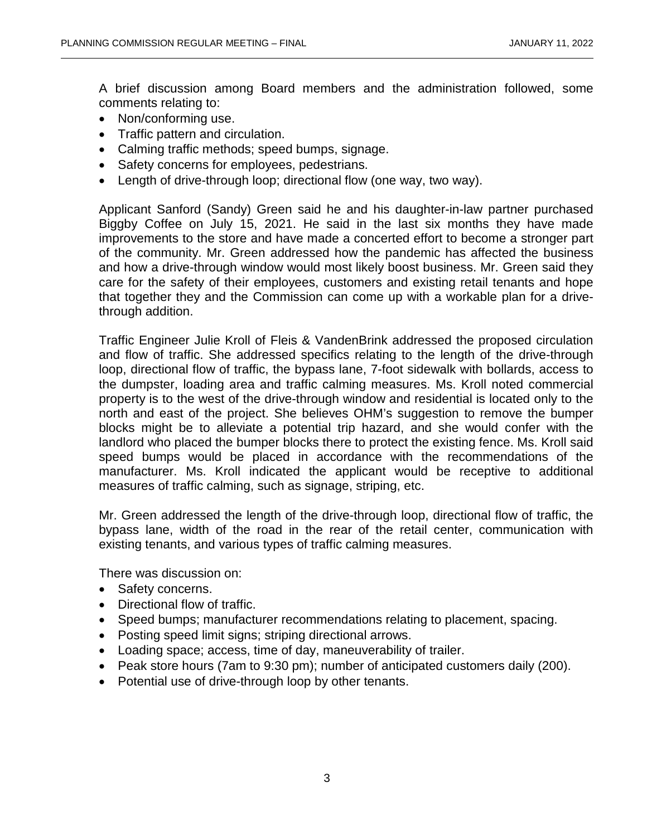A brief discussion among Board members and the administration followed, some comments relating to:

- Non/conforming use.
- Traffic pattern and circulation.
- Calming traffic methods; speed bumps, signage.
- Safety concerns for employees, pedestrians.
- Length of drive-through loop; directional flow (one way, two way).

Applicant Sanford (Sandy) Green said he and his daughter-in-law partner purchased Biggby Coffee on July 15, 2021. He said in the last six months they have made improvements to the store and have made a concerted effort to become a stronger part of the community. Mr. Green addressed how the pandemic has affected the business and how a drive-through window would most likely boost business. Mr. Green said they care for the safety of their employees, customers and existing retail tenants and hope that together they and the Commission can come up with a workable plan for a drivethrough addition.

Traffic Engineer Julie Kroll of Fleis & VandenBrink addressed the proposed circulation and flow of traffic. She addressed specifics relating to the length of the drive-through loop, directional flow of traffic, the bypass lane, 7-foot sidewalk with bollards, access to the dumpster, loading area and traffic calming measures. Ms. Kroll noted commercial property is to the west of the drive-through window and residential is located only to the north and east of the project. She believes OHM's suggestion to remove the bumper blocks might be to alleviate a potential trip hazard, and she would confer with the landlord who placed the bumper blocks there to protect the existing fence. Ms. Kroll said speed bumps would be placed in accordance with the recommendations of the manufacturer. Ms. Kroll indicated the applicant would be receptive to additional measures of traffic calming, such as signage, striping, etc.

Mr. Green addressed the length of the drive-through loop, directional flow of traffic, the bypass lane, width of the road in the rear of the retail center, communication with existing tenants, and various types of traffic calming measures.

There was discussion on:

- Safety concerns.
- Directional flow of traffic.
- Speed bumps; manufacturer recommendations relating to placement, spacing.
- Posting speed limit signs; striping directional arrows.
- Loading space; access, time of day, maneuverability of trailer.
- Peak store hours (7am to 9:30 pm); number of anticipated customers daily (200).
- Potential use of drive-through loop by other tenants.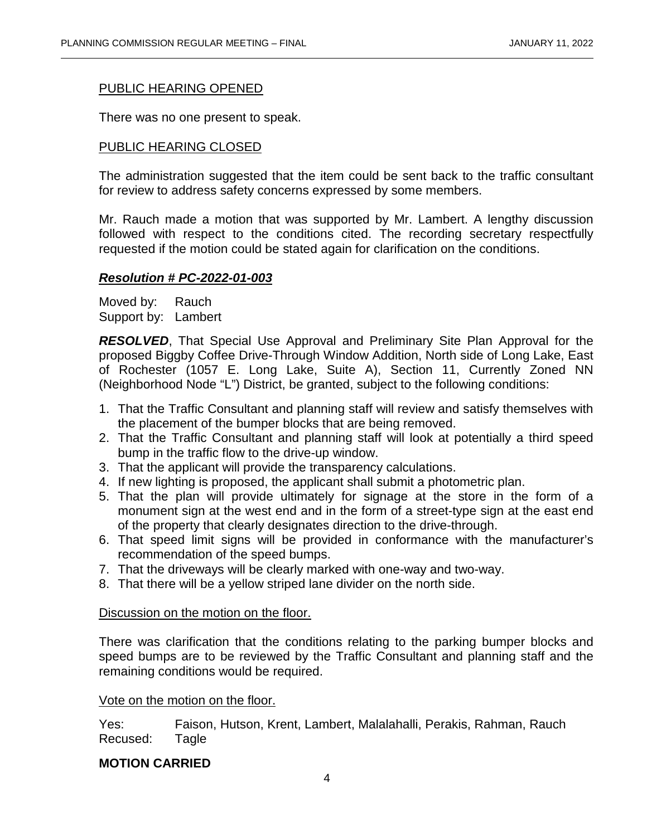## PUBLIC HEARING OPENED

There was no one present to speak.

# PUBLIC HEARING CLOSED

The administration suggested that the item could be sent back to the traffic consultant for review to address safety concerns expressed by some members.

Mr. Rauch made a motion that was supported by Mr. Lambert. A lengthy discussion followed with respect to the conditions cited. The recording secretary respectfully requested if the motion could be stated again for clarification on the conditions.

#### *Resolution # PC-2022-01-003*

Moved by: Rauch Support by: Lambert

*RESOLVED*, That Special Use Approval and Preliminary Site Plan Approval for the proposed Biggby Coffee Drive-Through Window Addition, North side of Long Lake, East of Rochester (1057 E. Long Lake, Suite A), Section 11, Currently Zoned NN (Neighborhood Node "L") District, be granted, subject to the following conditions:

- 1. That the Traffic Consultant and planning staff will review and satisfy themselves with the placement of the bumper blocks that are being removed.
- 2. That the Traffic Consultant and planning staff will look at potentially a third speed bump in the traffic flow to the drive-up window.
- 3. That the applicant will provide the transparency calculations.
- 4. If new lighting is proposed, the applicant shall submit a photometric plan.
- 5. That the plan will provide ultimately for signage at the store in the form of a monument sign at the west end and in the form of a street-type sign at the east end of the property that clearly designates direction to the drive-through.
- 6. That speed limit signs will be provided in conformance with the manufacturer's recommendation of the speed bumps.
- 7. That the driveways will be clearly marked with one-way and two-way.
- 8. That there will be a yellow striped lane divider on the north side.

#### Discussion on the motion on the floor.

There was clarification that the conditions relating to the parking bumper blocks and speed bumps are to be reviewed by the Traffic Consultant and planning staff and the remaining conditions would be required.

#### Vote on the motion on the floor.

Yes: Faison, Hutson, Krent, Lambert, Malalahalli, Perakis, Rahman, Rauch Recused: Tagle

#### **MOTION CARRIED**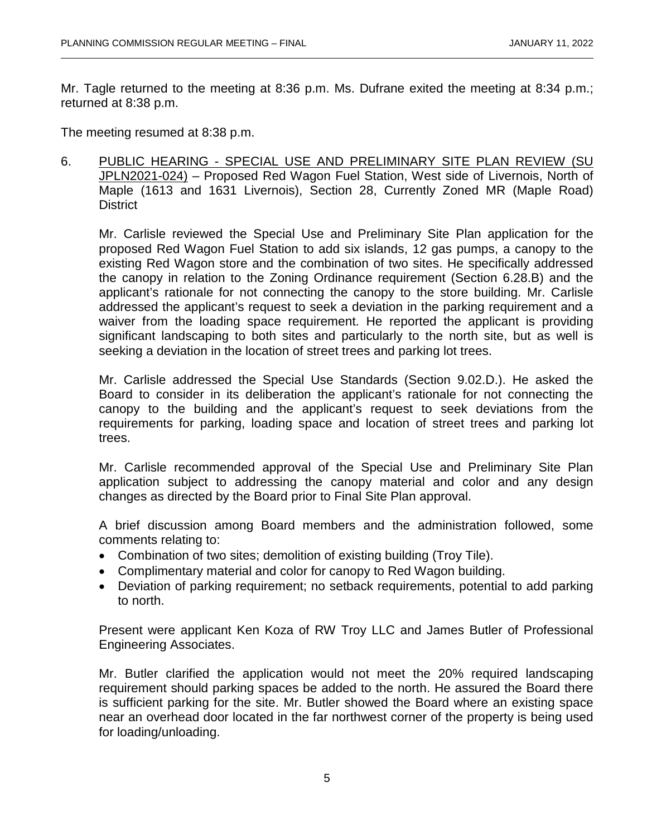Mr. Tagle returned to the meeting at 8:36 p.m. Ms. Dufrane exited the meeting at 8:34 p.m.; returned at 8:38 p.m.

The meeting resumed at 8:38 p.m.

6. PUBLIC HEARING - SPECIAL USE AND PRELIMINARY SITE PLAN REVIEW (SU JPLN2021-024) – Proposed Red Wagon Fuel Station, West side of Livernois, North of Maple (1613 and 1631 Livernois), Section 28, Currently Zoned MR (Maple Road) **District** 

Mr. Carlisle reviewed the Special Use and Preliminary Site Plan application for the proposed Red Wagon Fuel Station to add six islands, 12 gas pumps, a canopy to the existing Red Wagon store and the combination of two sites. He specifically addressed the canopy in relation to the Zoning Ordinance requirement (Section 6.28.B) and the applicant's rationale for not connecting the canopy to the store building. Mr. Carlisle addressed the applicant's request to seek a deviation in the parking requirement and a waiver from the loading space requirement. He reported the applicant is providing significant landscaping to both sites and particularly to the north site, but as well is seeking a deviation in the location of street trees and parking lot trees.

Mr. Carlisle addressed the Special Use Standards (Section 9.02.D.). He asked the Board to consider in its deliberation the applicant's rationale for not connecting the canopy to the building and the applicant's request to seek deviations from the requirements for parking, loading space and location of street trees and parking lot trees.

Mr. Carlisle recommended approval of the Special Use and Preliminary Site Plan application subject to addressing the canopy material and color and any design changes as directed by the Board prior to Final Site Plan approval.

A brief discussion among Board members and the administration followed, some comments relating to:

- Combination of two sites; demolition of existing building (Troy Tile).
- Complimentary material and color for canopy to Red Wagon building.
- Deviation of parking requirement; no setback requirements, potential to add parking to north.

Present were applicant Ken Koza of RW Troy LLC and James Butler of Professional Engineering Associates.

Mr. Butler clarified the application would not meet the 20% required landscaping requirement should parking spaces be added to the north. He assured the Board there is sufficient parking for the site. Mr. Butler showed the Board where an existing space near an overhead door located in the far northwest corner of the property is being used for loading/unloading.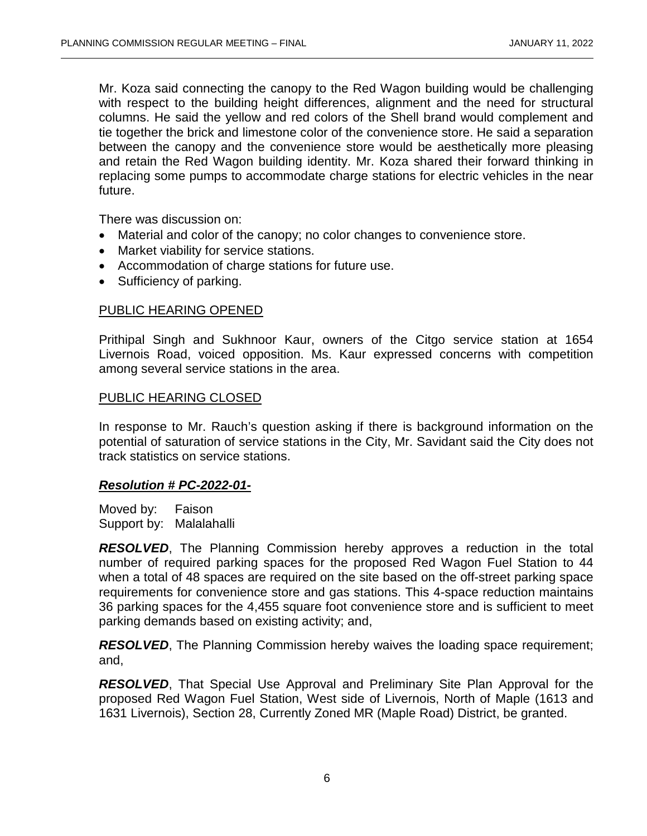Mr. Koza said connecting the canopy to the Red Wagon building would be challenging with respect to the building height differences, alignment and the need for structural columns. He said the yellow and red colors of the Shell brand would complement and tie together the brick and limestone color of the convenience store. He said a separation between the canopy and the convenience store would be aesthetically more pleasing and retain the Red Wagon building identity. Mr. Koza shared their forward thinking in replacing some pumps to accommodate charge stations for electric vehicles in the near future.

There was discussion on:

- Material and color of the canopy; no color changes to convenience store.
- Market viability for service stations.
- Accommodation of charge stations for future use.
- Sufficiency of parking.

#### PUBLIC HEARING OPENED

Prithipal Singh and Sukhnoor Kaur, owners of the Citgo service station at 1654 Livernois Road, voiced opposition. Ms. Kaur expressed concerns with competition among several service stations in the area.

#### PUBLIC HEARING CLOSED

In response to Mr. Rauch's question asking if there is background information on the potential of saturation of service stations in the City, Mr. Savidant said the City does not track statistics on service stations.

#### *Resolution # PC-2022-01-*

Moved by: Faison Support by: Malalahalli

*RESOLVED*, The Planning Commission hereby approves a reduction in the total number of required parking spaces for the proposed Red Wagon Fuel Station to 44 when a total of 48 spaces are required on the site based on the off-street parking space requirements for convenience store and gas stations. This 4-space reduction maintains 36 parking spaces for the 4,455 square foot convenience store and is sufficient to meet parking demands based on existing activity; and,

**RESOLVED**, The Planning Commission hereby waives the loading space requirement; and,

*RESOLVED*, That Special Use Approval and Preliminary Site Plan Approval for the proposed Red Wagon Fuel Station, West side of Livernois, North of Maple (1613 and 1631 Livernois), Section 28, Currently Zoned MR (Maple Road) District, be granted.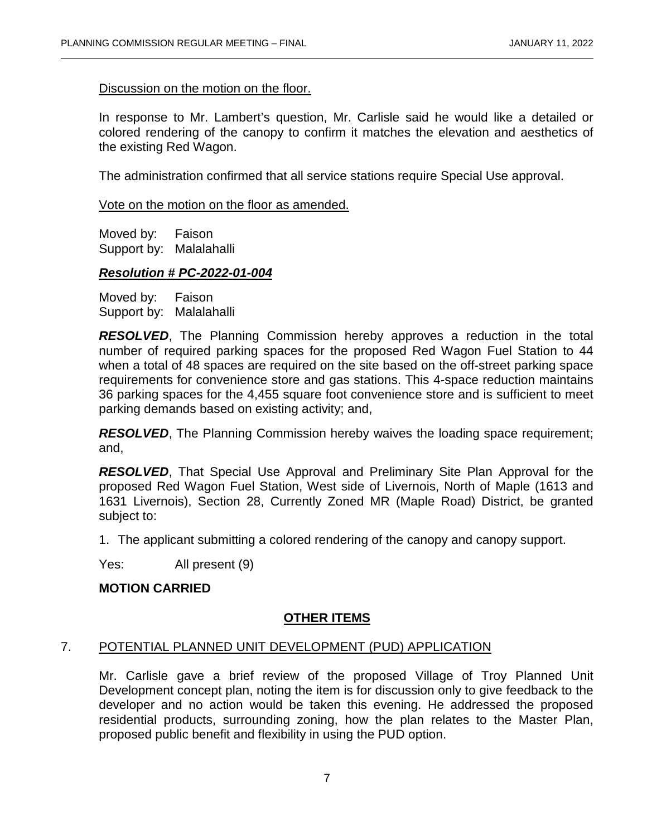Discussion on the motion on the floor.

In response to Mr. Lambert's question, Mr. Carlisle said he would like a detailed or colored rendering of the canopy to confirm it matches the elevation and aesthetics of the existing Red Wagon.

The administration confirmed that all service stations require Special Use approval.

Vote on the motion on the floor as amended.

Moved by: Faison Support by: Malalahalli

#### *Resolution # PC-2022-01-004*

Moved by: Faison Support by: Malalahalli

*RESOLVED*, The Planning Commission hereby approves a reduction in the total number of required parking spaces for the proposed Red Wagon Fuel Station to 44 when a total of 48 spaces are required on the site based on the off-street parking space requirements for convenience store and gas stations. This 4-space reduction maintains 36 parking spaces for the 4,455 square foot convenience store and is sufficient to meet parking demands based on existing activity; and,

**RESOLVED**, The Planning Commission hereby waives the loading space requirement; and,

*RESOLVED*, That Special Use Approval and Preliminary Site Plan Approval for the proposed Red Wagon Fuel Station, West side of Livernois, North of Maple (1613 and 1631 Livernois), Section 28, Currently Zoned MR (Maple Road) District, be granted subject to:

1. The applicant submitting a colored rendering of the canopy and canopy support.

Yes: All present (9)

# **MOTION CARRIED**

# **OTHER ITEMS**

#### 7. POTENTIAL PLANNED UNIT DEVELOPMENT (PUD) APPLICATION

Mr. Carlisle gave a brief review of the proposed Village of Troy Planned Unit Development concept plan, noting the item is for discussion only to give feedback to the developer and no action would be taken this evening. He addressed the proposed residential products, surrounding zoning, how the plan relates to the Master Plan, proposed public benefit and flexibility in using the PUD option.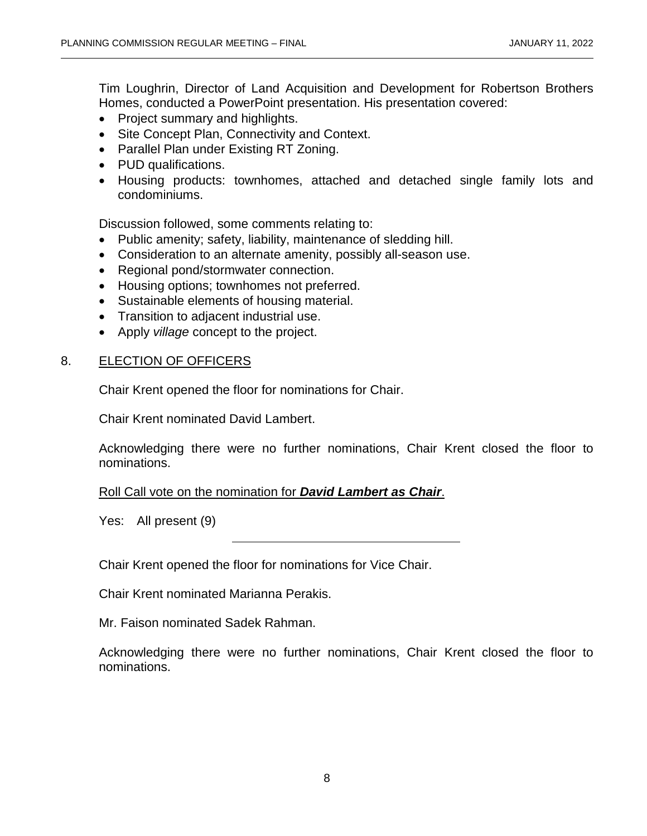Tim Loughrin, Director of Land Acquisition and Development for Robertson Brothers Homes, conducted a PowerPoint presentation. His presentation covered:

- Project summary and highlights.
- Site Concept Plan, Connectivity and Context.
- Parallel Plan under Existing RT Zoning.
- PUD qualifications.
- Housing products: townhomes, attached and detached single family lots and condominiums.

Discussion followed, some comments relating to:

- Public amenity; safety, liability, maintenance of sledding hill.
- Consideration to an alternate amenity, possibly all-season use.
- Regional pond/stormwater connection.
- Housing options; townhomes not preferred.
- Sustainable elements of housing material.
- Transition to adjacent industrial use.
- Apply *village* concept to the project.

# 8. ELECTION OF OFFICERS

Chair Krent opened the floor for nominations for Chair.

Chair Krent nominated David Lambert.

Acknowledging there were no further nominations, Chair Krent closed the floor to nominations.

Roll Call vote on the nomination for *David Lambert as Chair*.

Yes: All present (9)

Chair Krent opened the floor for nominations for Vice Chair.

Chair Krent nominated Marianna Perakis.

Mr. Faison nominated Sadek Rahman.

Acknowledging there were no further nominations, Chair Krent closed the floor to nominations.